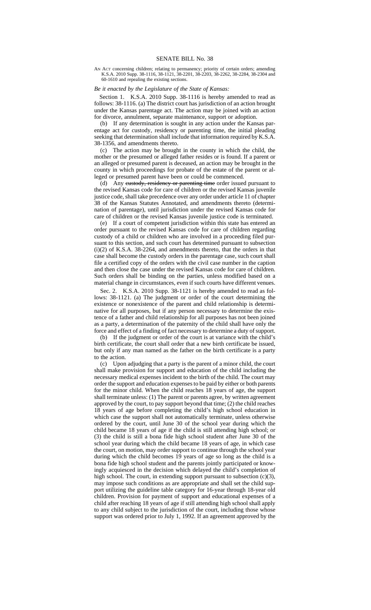AN ACT concerning children; relating to permanency; priority of certain orders; amending K.S.A. 2010 Supp. 38-1116, 38-1121, 38-2201, 38-2203, 38-2262, 38-2284, 38-2304 and 60-1610 and repealing the existing sections.

## *Be it enacted by the Legislature of the State of Kansas:*

Section 1. K.S.A. 2010 Supp. 38-1116 is hereby amended to read as follows: 38-1116. (a) The district court has jurisdiction of an action brought under the Kansas parentage act. The action may be joined with an action for divorce, annulment, separate maintenance, support or adoption.

(b) If any determination is sought in any action under the Kansas parentage act for custody, residency or parenting time, the initial pleading seeking that determination shall include that information required by K.S.A. 38-1356, and amendments thereto.

(c) The action may be brought in the county in which the child, the mother or the presumed or alleged father resides or is found. If a parent or an alleged or presumed parent is deceased, an action may be brought in the county in which proceedings for probate of the estate of the parent or alleged or presumed parent have been or could be commenced.

(d) Any eustody, residency or parenting time order issued pursuant to the revised Kansas code for care of children or the revised Kansas juvenile justice code, shall take precedence over any order under article 11 of chapter 38 of the Kansas Statutes Annotated, and amendments thereto (determination of parentage), until jurisdiction under the revised Kansas code for care of children or the revised Kansas juvenile justice code is terminated.

(e) If a court of competent jurisdiction within this state has entered an order pursuant to the revised Kansas code for care of children regarding custody of a child or children who are involved in a proceeding filed pursuant to this section, and such court has determined pursuant to subsection (i)(2) of K.S.A. 38-2264, and amendments thereto, that the orders in that case shall become the custody orders in the parentage case, such court shall file a certified copy of the orders with the civil case number in the caption and then close the case under the revised Kansas code for care of children. Such orders shall be binding on the parties, unless modified based on a material change in circumstances, even if such courts have different venues.

Sec. 2. K.S.A. 2010 Supp. 38-1121 is hereby amended to read as follows: 38-1121. (a) The judgment or order of the court determining the existence or nonexistence of the parent and child relationship is determinative for all purposes, but if any person necessary to determine the existence of a father and child relationship for all purposes has not been joined as a party, a determination of the paternity of the child shall have only the force and effect of a finding of fact necessary to determine a duty of support.

(b) If the judgment or order of the court is at variance with the child's birth certificate, the court shall order that a new birth certificate be issued, but only if any man named as the father on the birth certificate is a party to the action.

(c) Upon adjudging that a party is the parent of a minor child, the court shall make provision for support and education of the child including the necessary medical expenses incident to the birth of the child. The court may order the support and education expenses to be paid by either or both parents for the minor child. When the child reaches 18 years of age, the support shall terminate unless: (1) The parent or parents agree, by written agreement approved by the court, to pay support beyond that time; (2) the child reaches 18 years of age before completing the child's high school education in which case the support shall not automatically terminate, unless otherwise ordered by the court, until June 30 of the school year during which the child became 18 years of age if the child is still attending high school; or (3) the child is still a bona fide high school student after June 30 of the school year during which the child became 18 years of age, in which case the court, on motion, may order support to continue through the school year during which the child becomes 19 years of age so long as the child is a bona fide high school student and the parents jointly participated or knowingly acquiesced in the decision which delayed the child's completion of high school. The court, in extending support pursuant to subsection (c)(3), may impose such conditions as are appropriate and shall set the child support utilizing the guideline table category for 16-year through 18-year old children. Provision for payment of support and educational expenses of a child after reaching 18 years of age if still attending high school shall apply to any child subject to the jurisdiction of the court, including those whose support was ordered prior to July 1, 1992. If an agreement approved by the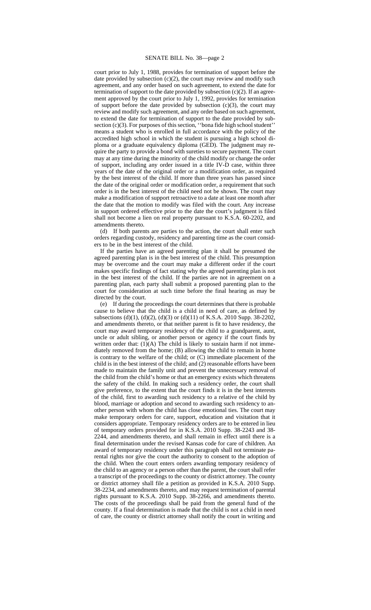## SENATE BILL No. 38—page 2

court prior to July 1, 1988, provides for termination of support before the date provided by subsection  $(c)(2)$ , the court may review and modify such agreement, and any order based on such agreement, to extend the date for termination of support to the date provided by subsection  $(c)(2)$ . If an agreement approved by the court prior to July 1, 1992, provides for termination of support before the date provided by subsection  $(c)(3)$ , the court may review and modify such agreement, and any order based on such agreement, to extend the date for termination of support to the date provided by subsection  $(c)(3)$ . For purposes of this section, "bona fide high school student" means a student who is enrolled in full accordance with the policy of the accredited high school in which the student is pursuing a high school diploma or a graduate equivalency diploma (GED). The judgment may require the party to provide a bond with sureties to secure payment. The court may at any time during the minority of the child modify or change the order of support, including any order issued in a title IV-D case, within three years of the date of the original order or a modification order, as required by the best interest of the child. If more than three years has passed since the date of the original order or modification order, a requirement that such order is in the best interest of the child need not be shown. The court may make a modification of support retroactive to a date at least one month after the date that the motion to modify was filed with the court. Any increase in support ordered effective prior to the date the court's judgment is filed shall not become a lien on real property pursuant to K.S.A. 60-2202, and amendments thereto.

(d) If both parents are parties to the action, the court shall enter such orders regarding custody, residency and parenting time as the court considers to be in the best interest of the child.

If the parties have an agreed parenting plan it shall be presumed the agreed parenting plan is in the best interest of the child. This presumption may be overcome and the court may make a different order if the court makes specific findings of fact stating why the agreed parenting plan is not in the best interest of the child. If the parties are not in agreement on a parenting plan, each party shall submit a proposed parenting plan to the court for consideration at such time before the final hearing as may be directed by the court.

(e) If during the proceedings the court determines that there is probable cause to believe that the child is a child in need of care, as defined by subsections (d)(1), (d)(2), (d)(3) or (d)(11) of K.S.A. 2010 Supp. 38-2202, and amendments thereto, or that neither parent is fit to have residency, the court may award temporary residency of the child to a grandparent, aunt, uncle or adult sibling, or another person or agency if the court finds by written order that:  $(1)(A)$  The child is likely to sustain harm if not immediately removed from the home; (B) allowing the child to remain in home is contrary to the welfare of the child; or (C) immediate placement of the child is in the best interest of the child; and (2) reasonable efforts have been made to maintain the family unit and prevent the unnecessary removal of the child from the child's home or that an emergency exists which threatens the safety of the child. In making such a residency order, the court shall give preference, to the extent that the court finds it is in the best interests of the child, first to awarding such residency to a relative of the child by blood, marriage or adoption and second to awarding such residency to another person with whom the child has close emotional ties. The court may make temporary orders for care, support, education and visitation that it considers appropriate. Temporary residency orders are to be entered in lieu of temporary orders provided for in K.S.A. 2010 Supp. 38-2243 and 38- 2244, and amendments thereto, and shall remain in effect until there is a final determination under the revised Kansas code for care of children. An award of temporary residency under this paragraph shall not terminate parental rights nor give the court the authority to consent to the adoption of the child. When the court enters orders awarding temporary residency of the child to an agency or a person other than the parent, the court shall refer a transcript of the proceedings to the county or district attorney. The county or district attorney shall file a petition as provided in K.S.A. 2010 Supp. 38-2234, and amendments thereto, and may request termination of parental rights pursuant to K.S.A. 2010 Supp. 38-2266, and amendments thereto. The costs of the proceedings shall be paid from the general fund of the county. If a final determination is made that the child is not a child in need of care, the county or district attorney shall notify the court in writing and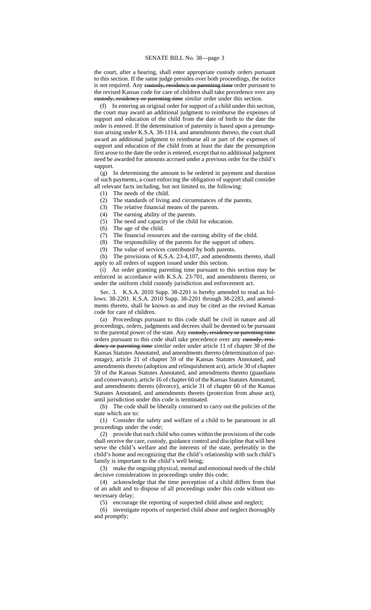the court, after a hearing, shall enter appropriate custody orders pursuant to this section. If the same judge presides over both proceedings, the notice is not required. Any eustody, residency or parenting time order pursuant to the revised Kansas code for care of children shall take precedence over any custody, residency or parenting time *similar* order under this section.

(f) In entering an original order for support of a child under this section, the court may award an additional judgment to reimburse the expenses of support and education of the child from the date of birth to the date the order is entered. If the determination of paternity is based upon a presumption arising under K.S.A. 38-1114*,* and amendments thereto, the court shall award an additional judgment to reimburse all or part of the expenses of support and education of the child from at least the date the presumption first arose to the date the order is entered, except that no additional judgment need be awarded for amounts accrued under a previous order for the child's support.

(g) In determining the amount to be ordered in payment and duration of such payments, a court enforcing the obligation of support shall consider all relevant facts including, but not limited to, the following:

(1) The needs of the child.

(2) The standards of living and circumstances of the parents.

(3) The relative financial means of the parents.

(4) The earning ability of the parents.

(5) The need and capacity of the child for education.

(6) The age of the child.

(7) The financial resources and the earning ability of the child.

(8) The responsibility of the parents for the support of others.

(9) The value of services contributed by both parents.

(h) The provisions of K.S.A. 23-4,107, and amendments thereto, shall apply to all orders of support issued under this section.

(i) An order granting parenting time pursuant to this section may be enforced in accordance with K.S.A. 23-701, and amendments thereto, or under the uniform child custody jurisdiction and enforcement act.

Sec. 3. K.S.A. 2010 Supp. 38-2201 is hereby amended to read as follows: 38-2201. K.S.A. 2010 Supp. 38-2201 through 38-2283, and amendments thereto, shall be known as and may be cited as the revised Kansas code for care of children.

(a) Proceedings pursuant to this code shall be civil in nature and all proceedings, orders, judgments and decrees shall be deemed to be pursuant to the parental power of the state. Any eustody, residency or parenting time orders pursuant to this code shall take precedence over any custody, residency or parenting time *similar* order under article 11 of chapter 38 of the Kansas Statutes Annotated, and amendments thereto (determination of parentage), article 21 of chapter 59 of the Kansas Statutes Annotated, and amendments thereto (adoption and relinquishment act), article 30 of chapter 59 of the Kansas Statutes Annotated, and amendments thereto (guardians and conservators), article 16 of chapter 60 of the Kansas Statutes Annotated, and amendments thereto (divorce), article 31 of chapter 60 of the Kansas Statutes Annotated, and amendments thereto (protection from abuse act), until jurisdiction under this code is terminated.

(b) The code shall be liberally construed to carry out the policies of the state which are to:

(1) Consider the safety and welfare of a child to be paramount in all proceedings under the code;

(2) provide that each child who comes within the provisions of the code shall receive the care, custody, guidance control and discipline that will best serve the child's welfare and the interests of the state, preferably in the child's home and recognizing that the child's relationship with such child's family is important to the child's well being;

(3) make the ongoing physical, mental and emotional needs of the child decisive considerations in proceedings under this code;

(4) acknowledge that the time perception of a child differs from that of an adult and to dispose of all proceedings under this code without unnecessary delay;

(5) encourage the reporting of suspected child abuse and neglect;

(6) investigate reports of suspected child abuse and neglect thoroughly and promptly;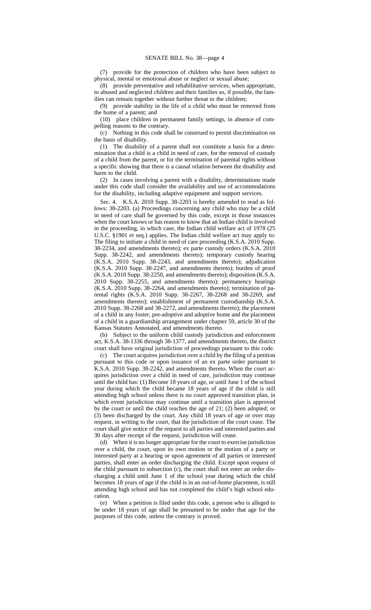(7) provide for the protection of children who have been subject to physical, mental or emotional abuse or neglect or sexual abuse;

(8) provide preventative and rehabilitative services, when appropriate, to abused and neglected children and their families so, if possible, the families can remain together without further threat to the children;

(9) provide stability in the life of a child who must be removed from the home of a parent; and

(10) place children in permanent family settings, in absence of compelling reasons to the contrary.

(c) Nothing in this code shall be construed to permit discrimination on the basis of disability.

(1) The disability of a parent shall not constitute a basis for a determination that a child is a child in need of care, for the removal of custody of a child from the parent, or for the termination of parental rights without a specific showing that there is a causal relation between the disability and harm to the child.

(2) In cases involving a parent with a disability, determinations made under this code shall consider the availability and use of accommodations for the disability, including adaptive equipment and support services.

Sec. 4. K.S.A. 2010 Supp. 38-2203 is hereby amended to read as follows: 38-2203. (a) Proceedings concerning any child who may be a child in need of care shall be governed by this code, except in those instances when the court knows or has reason to know that an Indian child is involved in the proceeding, in which case, the Indian child welfare act of 1978 (25 U.S.C. §1901 et seq.) applies. The Indian child welfare act may apply to: The filing to initiate a child in need of care proceeding (K.S.A. 2010 Supp. 38-2234, and amendments thereto); ex parte custody orders (K.S.A. 2010 Supp. 38-2242, and amendments thereto); temporary custody hearing (K.S.A. 2010 Supp. 38-2243, and amendments thereto); adjudication (K.S.A. 2010 Supp. 38-2247, and amendments thereto); burden of proof (K.S.A. 2010 Supp. 38-2250, and amendments thereto); disposition (K.S.A. 2010 Supp. 38-2255, and amendments thereto); permanency hearings (K.S.A. 2010 Supp. 38-2264, and amendments thereto); termination of parental rights (K.S.A. 2010 Supp. 38-2267, 38-2268 and 38-2269, and amendments thereto); establishment of permanent custodianship (K.S.A. 2010 Supp. 38-2268 and 38-2272, and amendments thereto); the placement of a child in any foster, pre-adoptive and adoptive home and the placement of a child in a guardianship arrangement under chapter 59, article 30 of the Kansas Statutes Annotated, and amendments thereto.

(b) Subject to the uniform child custody jurisdiction and enforcement act, K.S.A. 38-1336 through 38-1377, and amendments thereto, the district court shall have original jurisdiction of proceedings pursuant to this code.

(c) The court acquires jurisdiction over a child by the filing of a petition pursuant to this code or upon issuance of an ex parte order pursuant to K.S.A. 2010 Supp. 38-2242, and amendments thereto. When the court acquires jurisdiction over a child in need of care, jurisdiction may continue until the child has: (1) Become 18 years of age, or until June 1 of the school year during which the child became 18 years of age if the child is still attending high school unless there is no court approved transition plan, in which event jurisdiction may continue until a transition plan is approved by the court or until the child reaches the age of 21; (2) been adopted; or (3) been discharged by the court. Any child 18 years of age or over may request, in writing to the court, that the jurisdiction of the court cease. The court shall give notice of the request to all parties and interested parties and 30 days after receipt of the request, jurisdiction will cease.

(d) When it is no longer appropriate for the court to exercise jurisdiction over a child, the court, upon its own motion or the motion of a party or interested party at a hearing or upon agreement of all parties or interested parties, shall enter an order discharging the child. Except upon request of the child pursuant to subsection (c), the court shall not enter an order discharging a child until June 1 of the school year during which the child becomes 18 years of age if the child is in an out-of-home placement, is still attending high school and has not completed the child's high school education.

(e) When a petition is filed under this code, a person who is alleged to be under 18 years of age shall be presumed to be under that age for the purposes of this code, unless the contrary is proved.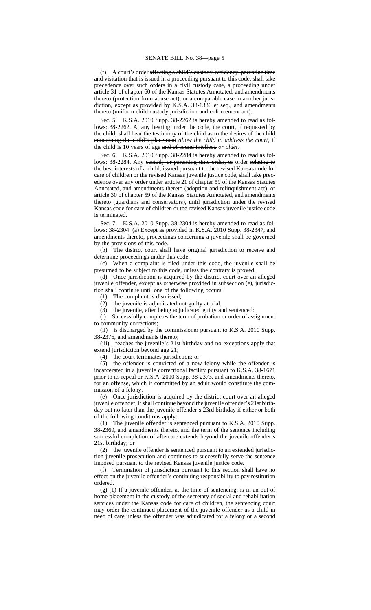(f) A court's order affecting a child's custody, residency, parenting time and visitation that is issued in a proceeding pursuant to this code, shall take precedence over such orders in a civil custody case, a proceeding under article 31 of chapter 60 of the Kansas Statutes Annotated, and amendments thereto (protection from abuse act), or a comparable case in another jurisdiction, except as provided by K.S.A. 38-1336 et seq., and amendments thereto (uniform child custody jurisdiction and enforcement act).

Sec. 5. K.S.A. 2010 Supp. 38-2262 is hereby amended to read as follows: 38-2262. At any hearing under the code, the court, if requested by the child, shall hear the testimony of the child as to the desires of the child concerning the child's placement *allow the child to address the court*, if the child is 10 years of age and of sound intellect. *or older.*

Sec. 6. K.S.A. 2010 Supp. 38-2284 is hereby amended to read as follows: 38-2284. Any eustody or parenting time order, or order relating to the best interests of a child, issued pursuant to the revised Kansas code for care of children or the revised Kansas juvenile justice code, shall take precedence over any order under article 21 of chapter 59 of the Kansas Statutes Annotated, and amendments thereto (adoption and relinquishment act), or article 30 of chapter 59 of the Kansas Statutes Annotated, and amendments thereto (guardians and conservators), until jurisdiction under the revised Kansas code for care of children or the revised Kansas juvenile justice code is terminated.

Sec. 7. K.S.A. 2010 Supp. 38-2304 is hereby amended to read as follows: 38-2304. (a) Except as provided in K.S.A. 2010 Supp. 38-2347, and amendments thereto, proceedings concerning a juvenile shall be governed by the provisions of this code.

(b) The district court shall have original jurisdiction to receive and determine proceedings under this code.

(c) When a complaint is filed under this code, the juvenile shall be presumed to be subject to this code, unless the contrary is proved.

(d) Once jurisdiction is acquired by the district court over an alleged juvenile offender, except as otherwise provided in subsection (e), jurisdiction shall continue until one of the following occurs:

(1) The complaint is dismissed;

(2) the juvenile is adjudicated not guilty at trial;

(3) the juvenile, after being adjudicated guilty and sentenced:

(i) Successfully completes the term of probation or order of assignment to community corrections;

(ii) is discharged by the commissioner pursuant to K.S.A. 2010 Supp. 38-2376, and amendments thereto;

(iii) reaches the juvenile's 21st birthday and no exceptions apply that extend jurisdiction beyond age 21;

(4) the court terminates jurisdiction; or

(5) the offender is convicted of a new felony while the offender is incarcerated in a juvenile correctional facility pursuant to K.S.A. 38-1671 prior to its repeal or K.S.A. 2010 Supp. 38-2373, and amendments thereto, for an offense, which if committed by an adult would constitute the commission of a felony.

(e) Once jurisdiction is acquired by the district court over an alleged juvenile offender, it shall continue beyond the juvenile offender's 21st birthday but no later than the juvenile offender's 23rd birthday if either or both of the following conditions apply:

(1) The juvenile offender is sentenced pursuant to K.S.A. 2010 Supp. 38-2369, and amendments thereto, and the term of the sentence including successful completion of aftercare extends beyond the juvenile offender's 21st birthday; or

(2) the juvenile offender is sentenced pursuant to an extended jurisdiction juvenile prosecution and continues to successfully serve the sentence imposed pursuant to the revised Kansas juvenile justice code.

(f) Termination of jurisdiction pursuant to this section shall have no effect on the juvenile offender's continuing responsibility to pay restitution ordered.

(g) (1) If a juvenile offender, at the time of sentencing, is in an out of home placement in the custody of the secretary of social and rehabilitation services under the Kansas code for care of children, the sentencing court may order the continued placement of the juvenile offender as a child in need of care unless the offender was adjudicated for a felony or a second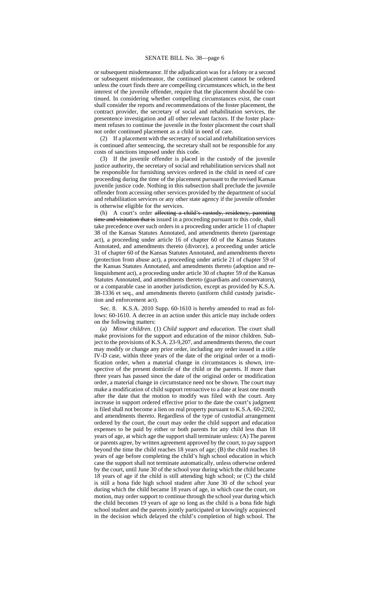or subsequent misdemeanor. If the adjudication was for a felony or a second or subsequent misdemeanor, the continued placement cannot be ordered unless the court finds there are compelling circumstances which, in the best interest of the juvenile offender, require that the placement should be continued. In considering whether compelling circumstances exist, the court shall consider the reports and recommendations of the foster placement, the contract provider, the secretary of social and rehabilitation services, the presentence investigation and all other relevant factors. If the foster placement refuses to continue the juvenile in the foster placement the court shall not order continued placement as a child in need of care.

(2) If a placement with the secretary of social and rehabilitation services is continued after sentencing, the secretary shall not be responsible for any costs of sanctions imposed under this code.

(3) If the juvenile offender is placed in the custody of the juvenile justice authority, the secretary of social and rehabilitation services shall not be responsible for furnishing services ordered in the child in need of care proceeding during the time of the placement pursuant to the revised Kansas juvenile justice code. Nothing in this subsection shall preclude the juvenile offender from accessing other services provided by the department of social and rehabilitation services or any other state agency if the juvenile offender is otherwise eligible for the services.

(h) A court's order affecting a child's custody, residency, parenting time and visitation that is issued in a proceeding pursuant to this code, shall take precedence over such orders in a proceeding under article 11 of chapter 38 of the Kansas Statutes Annotated, and amendments thereto (parentage act), a proceeding under article 16 of chapter 60 of the Kansas Statutes Annotated, and amendments thereto (divorce), a proceeding under article 31 of chapter 60 of the Kansas Statutes Annotated, and amendments thereto (protection from abuse act), a proceeding under article 21 of chapter 59 of the Kansas Statutes Annotated, and amendments thereto (adoption and relinquishment act), a proceeding under article 30 of chapter 59 of the Kansas Statutes Annotated, and amendments thereto (guardians and conservators), or a comparable case in another jurisdiction, except as provided by K.S.A. 38-1336 et seq., and amendments thereto (uniform child custody jurisdiction and enforcement act).

Sec. 8. K.S.A. 2010 Supp. 60-1610 is hereby amended to read as follows: 60-1610. A decree in an action under this article may include orders on the following matters:

(a) *Minor children.* (1) *Child support and education.* The court shall make provisions for the support and education of the minor children. Subject to the provisions of K.S.A. 23-9,207, and amendments thereto, the court may modify or change any prior order, including any order issued in a title IV-D case, within three years of the date of the original order or a modification order, when a material change in circumstances is shown, irrespective of the present domicile of the child or the parents. If more than three years has passed since the date of the original order or modification order, a material change in circumstance need not be shown. The court may make a modification of child support retroactive to a date at least one month after the date that the motion to modify was filed with the court. Any increase in support ordered effective prior to the date the court's judgment is filed shall not become a lien on real property pursuant to K.S.A. 60-2202*,* and amendments thereto. Regardless of the type of custodial arrangement ordered by the court, the court may order the child support and education expenses to be paid by either or both parents for any child less than 18 years of age, at which age the support shall terminate unless: (A) The parent or parents agree, by written agreement approved by the court, to pay support beyond the time the child reaches 18 years of age; (B) the child reaches 18 years of age before completing the child's high school education in which case the support shall not terminate automatically, unless otherwise ordered by the court, until June 30 of the school year during which the child became 18 years of age if the child is still attending high school; or (C) the child is still a bona fide high school student after June 30 of the school year during which the child became 18 years of age, in which case the court, on motion, may order support to continue through the school year during which the child becomes 19 years of age so long as the child is a bona fide high school student and the parents jointly participated or knowingly acquiesced in the decision which delayed the child's completion of high school. The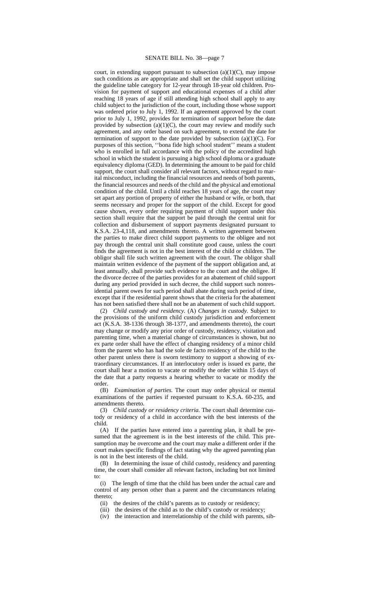## SENATE BILL No. 38—page 7

court, in extending support pursuant to subsection  $(a)(1)(C)$ , may impose such conditions as are appropriate and shall set the child support utilizing the guideline table category for 12-year through 18-year old children. Provision for payment of support and educational expenses of a child after reaching 18 years of age if still attending high school shall apply to any child subject to the jurisdiction of the court, including those whose support was ordered prior to July 1, 1992. If an agreement approved by the court prior to July 1, 1992, provides for termination of support before the date provided by subsection  $(a)(1)(C)$ , the court may review and modify such agreement, and any order based on such agreement, to extend the date for termination of support to the date provided by subsection  $(a)(1)(C)$ . For purposes of this section, ''bona fide high school student'' means a student who is enrolled in full accordance with the policy of the accredited high school in which the student is pursuing a high school diploma or a graduate equivalency diploma (GED). In determining the amount to be paid for child support, the court shall consider all relevant factors, without regard to marital misconduct, including the financial resources and needs of both parents, the financial resources and needs of the child and the physical and emotional condition of the child. Until a child reaches 18 years of age, the court may set apart any portion of property of either the husband or wife, or both, that seems necessary and proper for the support of the child. Except for good cause shown, every order requiring payment of child support under this section shall require that the support be paid through the central unit for collection and disbursement of support payments designated pursuant to K.S.A. 23-4,118, and amendments thereto. A written agreement between the parties to make direct child support payments to the obligee and not pay through the central unit shall constitute good cause, unless the court finds the agreement is not in the best interest of the child or children. The obligor shall file such written agreement with the court. The obligor shall maintain written evidence of the payment of the support obligation and, at least annually, shall provide such evidence to the court and the obligee. If the divorce decree of the parties provides for an abatement of child support during any period provided in such decree, the child support such nonresidential parent owes for such period shall abate during such period of time, except that if the residential parent shows that the criteria for the abatement has not been satisfied there shall not be an abatement of such child support.

(2) *Child custody and residency.* (A) *Changes in custody.* Subject to the provisions of the uniform child custody jurisdiction and enforcement act (K.S.A. 38-1336 through 38-1377, and amendments thereto), the court may change or modify any prior order of custody, residency, visitation and parenting time, when a material change of circumstances is shown, but no ex parte order shall have the effect of changing residency of a minor child from the parent who has had the sole de facto residency of the child to the other parent unless there is sworn testimony to support a showing of extraordinary circumstances. If an interlocutory order is issued ex parte, the court shall hear a motion to vacate or modify the order within 15 days of the date that a party requests a hearing whether to vacate or modify the order.

(B) *Examination of parties.* The court may order physical or mental examinations of the parties if requested pursuant to K.S.A. 60-235*,* and amendments thereto.

(3) *Child custody or residency criteria.* The court shall determine custody or residency of a child in accordance with the best interests of the child.<br> $(A)$ 

If the parties have entered into a parenting plan, it shall be presumed that the agreement is in the best interests of the child. This presumption may be overcome and the court may make a different order if the court makes specific findings of fact stating why the agreed parenting plan is not in the best interests of the child.

(B) In determining the issue of child custody, residency and parenting time, the court shall consider all relevant factors, including but not limited to:

(i) The length of time that the child has been under the actual care and control of any person other than a parent and the circumstances relating thereto;

(ii) the desires of the child's parents as to custody or residency;

(iii) the desires of the child as to the child's custody or residency;

(iv) the interaction and interrelationship of the child with parents, sib-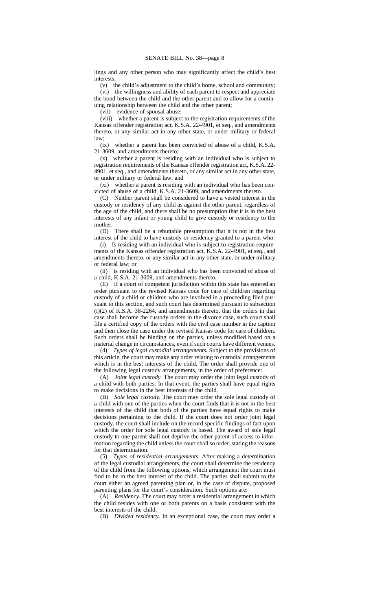lings and any other person who may significantly affect the child's best interests;

(v) the child's adjustment to the child's home, school and community; (vi) the willingness and ability of each parent to respect and appreciate the bond between the child and the other parent and to allow for a continuing relationship between the child and the other parent;

(vii) evidence of spousal abuse;

(viii) whether a parent is subject to the registration requirements of the Kansas offender registration act, K.S.A. 22-4901, et seq., and amendments thereto, or any similar act in any other state, or under military or federal law;

(ix) whether a parent has been convicted of abuse of a child, K.S.A. 21-3609, and amendments thereto;

(x) whether a parent is residing with an individual who is subject to registration requirements of the Kansas offender registration act, K.S.A. 22- 4901, et seq., and amendments thereto, or any similar act in any other state, or under military or federal law; and

(xi) whether a parent is residing with an individual who has been convicted of abuse of a child, K.S.A. 21-3609, and amendments thereto.

(C) Neither parent shall be considered to have a vested interest in the custody or residency of any child as against the other parent, regardless of the age of the child, and there shall be no presumption that it is in the best interests of any infant or young child to give custody or residency to the mother.

(D) There shall be a rebuttable presumption that it is not in the best interest of the child to have custody or residency granted to a parent who:

(i) Is residing with an individual who is subject to registration requirements of the Kansas offender registration act, K.S.A. 22-4901, et seq., and amendments thereto, or any similar act in any other state, or under military or federal law; or

(ii) is residing with an individual who has been convicted of abuse of a child, K.S.A. 21-3609, and amendments thereto.

(E) If a court of competent jurisdiction within this state has entered an order pursuant to the revised Kansas code for care of children regarding custody of a child or children who are involved in a proceeding filed pursuant to this section, and such court has determined pursuant to subsection (i)(2) of K.S.A. 38-2264, and amendments thereto, that the orders in that case shall become the custody orders in the divorce case, such court shall file a certified copy of the orders with the civil case number in the caption and then close the case under the revised Kansas code for care of children. Such orders shall be binding on the parties, unless modified based on a material change in circumstances, even if such courts have different venues.

(4) *Types of legal custodial arrangements.* Subject to the provisions of this article, the court may make any order relating to custodial arrangements which is in the best interests of the child. The order shall provide one of the following legal custody arrangements, in the order of preference:

(A) *Joint legal custody.* The court may order the joint legal custody of a child with both parties. In that event, the parties shall have equal rights to make decisions in the best interests of the child.

(B) *Sole legal custody.* The court may order the sole legal custody of a child with one of the parties when the court finds that it is not in the best interests of the child that both of the parties have equal rights to make decisions pertaining to the child. If the court does not order joint legal custody, the court shall include on the record specific findings of fact upon which the order for sole legal custody is based. The award of sole legal custody to one parent shall not deprive the other parent of access to information regarding the child unless the court shall so order, stating the reasons for that determination.

(5) *Types of residential arrangements*. After making a determination of the legal custodial arrangements, the court shall determine the residency of the child from the following options, which arrangement the court must find to be in the best interest of the child. The parties shall submit to the court either an agreed parenting plan or, in the case of dispute, proposed parenting plans for the court's consideration. Such options are:

(A) *Residency.* The court may order a residential arrangement in which the child resides with one or both parents on a basis consistent with the best interests of the child.

(B) *Divided residency.* In an exceptional case, the court may order a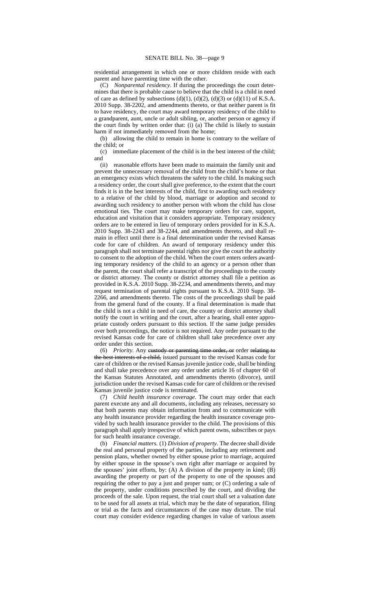residential arrangement in which one or more children reside with each parent and have parenting time with the other.

(C) *Nonparental residency.* If during the proceedings the court determines that there is probable cause to believe that the child is a child in need of care as defined by subsections (d)(1), (d)(2), (d)(3) or (d)(11) of K.S.A. 2010 Supp. 38-2202, and amendments thereto, or that neither parent is fit to have residency, the court may award temporary residency of the child to a grandparent, aunt, uncle or adult sibling, or, another person or agency if the court finds by written order that: (i) (a) The child is likely to sustain harm if not immediately removed from the home;

(b) allowing the child to remain in home is contrary to the welfare of the child; or

(c) immediate placement of the child is in the best interest of the child; and

(ii) reasonable efforts have been made to maintain the family unit and prevent the unnecessary removal of the child from the child's home or that an emergency exists which threatens the safety to the child. In making such a residency order, the court shall give preference, to the extent that the court finds it is in the best interests of the child, first to awarding such residency to a relative of the child by blood, marriage or adoption and second to awarding such residency to another person with whom the child has close emotional ties. The court may make temporary orders for care, support, education and visitation that it considers appropriate. Temporary residency orders are to be entered in lieu of temporary orders provided for in K.S.A. 2010 Supp. 38-2243 and 38-2244, and amendments thereto, and shall remain in effect until there is a final determination under the revised Kansas code for care of children. An award of temporary residency under this paragraph shall not terminate parental rights nor give the court the authority to consent to the adoption of the child. When the court enters orders awarding temporary residency of the child to an agency or a person other than the parent, the court shall refer a transcript of the proceedings to the county or district attorney. The county or district attorney shall file a petition as provided in K.S.A. 2010 Supp. 38-2234, and amendments thereto, and may request termination of parental rights pursuant to K.S.A. 2010 Supp. 38- 2266, and amendments thereto. The costs of the proceedings shall be paid from the general fund of the county. If a final determination is made that the child is not a child in need of care, the county or district attorney shall notify the court in writing and the court, after a hearing, shall enter appropriate custody orders pursuant to this section. If the same judge presides over both proceedings, the notice is not required. Any order pursuant to the revised Kansas code for care of children shall take precedence over any order under this section.

(6) *Priority.* Any custody or parenting time order, or order relating to the best interests of a child, issued pursuant to the revised Kansas code for care of children or the revised Kansas juvenile justice code, shall be binding and shall take precedence over any order under article 16 of chapter 60 of the Kansas Statutes Annotated, and amendments thereto (divorce), until jurisdiction under the revised Kansas code for care of children or the revised Kansas juvenile justice code is terminated.

(7) *Child health insurance coverage.* The court may order that each parent execute any and all documents, including any releases, necessary so that both parents may obtain information from and to communicate with any health insurance provider regarding the health insurance coverage provided by such health insurance provider to the child. The provisions of this paragraph shall apply irrespective of which parent owns, subscribes or pays for such health insurance coverage.

(b) *Financial matters.* (1) *Division of property.* The decree shall divide the real and personal property of the parties, including any retirement and pension plans, whether owned by either spouse prior to marriage, acquired by either spouse in the spouse's own right after marriage or acquired by the spouses' joint efforts, by: (A) A division of the property in kind; (B) awarding the property or part of the property to one of the spouses and requiring the other to pay a just and proper sum; or (C) ordering a sale of the property, under conditions prescribed by the court, and dividing the proceeds of the sale. Upon request, the trial court shall set a valuation date to be used for all assets at trial, which may be the date of separation, filing or trial as the facts and circumstances of the case may dictate. The trial court may consider evidence regarding changes in value of various assets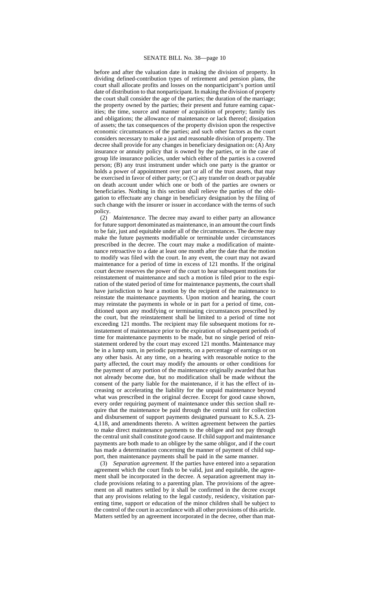## SENATE BILL No. 38—page 10

before and after the valuation date in making the division of property. In dividing defined-contribution types of retirement and pension plans, the court shall allocate profits and losses on the nonparticipant's portion until date of distribution to that nonparticipant. In making the division of property the court shall consider the age of the parties; the duration of the marriage; the property owned by the parties; their present and future earning capacities; the time, source and manner of acquisition of property; family ties and obligations; the allowance of maintenance or lack thereof; dissipation of assets; the tax consequences of the property division upon the respective economic circumstances of the parties; and such other factors as the court considers necessary to make a just and reasonable division of property. The decree shall provide for any changes in beneficiary designation on: (A) Any insurance or annuity policy that is owned by the parties, or in the case of group life insurance policies, under which either of the parties is a covered person; (B) any trust instrument under which one party is the grantor or holds a power of appointment over part or all of the trust assets, that may be exercised in favor of either party; or (C) any transfer on death or payable on death account under which one or both of the parties are owners or beneficiaries. Nothing in this section shall relieve the parties of the obligation to effectuate any change in beneficiary designation by the filing of such change with the insurer or issuer in accordance with the terms of such policy.

(2) *Maintenance.* The decree may award to either party an allowance for future support denominated as maintenance, in an amount the court finds to be fair, just and equitable under all of the circumstances. The decree may make the future payments modifiable or terminable under circumstances prescribed in the decree. The court may make a modification of maintenance retroactive to a date at least one month after the date that the motion to modify was filed with the court. In any event, the court may not award maintenance for a period of time in excess of 121 months. If the original court decree reserves the power of the court to hear subsequent motions for reinstatement of maintenance and such a motion is filed prior to the expiration of the stated period of time for maintenance payments, the court shall have jurisdiction to hear a motion by the recipient of the maintenance to reinstate the maintenance payments. Upon motion and hearing, the court may reinstate the payments in whole or in part for a period of time, conditioned upon any modifying or terminating circumstances prescribed by the court, but the reinstatement shall be limited to a period of time not exceeding 121 months. The recipient may file subsequent motions for reinstatement of maintenance prior to the expiration of subsequent periods of time for maintenance payments to be made, but no single period of reinstatement ordered by the court may exceed 121 months. Maintenance may be in a lump sum, in periodic payments, on a percentage of earnings or on any other basis. At any time, on a hearing with reasonable notice to the party affected, the court may modify the amounts or other conditions for the payment of any portion of the maintenance originally awarded that has not already become due, but no modification shall be made without the consent of the party liable for the maintenance, if it has the effect of increasing or accelerating the liability for the unpaid maintenance beyond what was prescribed in the original decree. Except for good cause shown, every order requiring payment of maintenance under this section shall require that the maintenance be paid through the central unit for collection and disbursement of support payments designated pursuant to K.S.A. 23- 4,118, and amendments thereto. A written agreement between the parties to make direct maintenance payments to the obligee and not pay through the central unit shall constitute good cause. If child support and maintenance payments are both made to an obligee by the same obligor, and if the court has made a determination concerning the manner of payment of child support, then maintenance payments shall be paid in the same manner.

(3) *Separation agreement.* If the parties have entered into a separation agreement which the court finds to be valid, just and equitable, the agreement shall be incorporated in the decree. A separation agreement may include provisions relating to a parenting plan. The provisions of the agreement on all matters settled by it shall be confirmed in the decree except that any provisions relating to the legal custody, residency, visitation parenting time, support or education of the minor children shall be subject to the control of the court in accordance with all other provisions of this article. Matters settled by an agreement incorporated in the decree, other than mat-